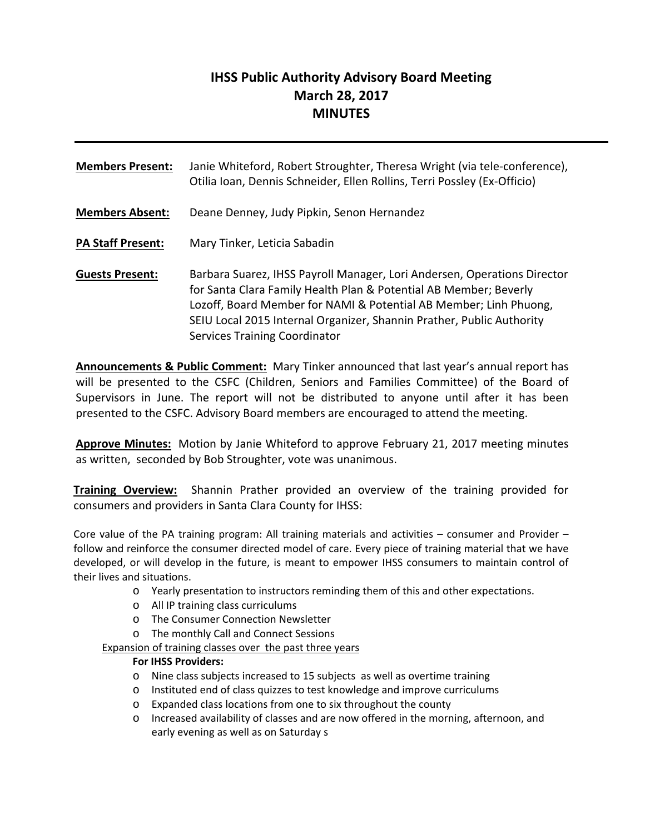# **IHSS Public Authority Advisory Board Meeting March 28, 2017 MINUTES**

| <b>Members Present:</b>  | Janie Whiteford, Robert Stroughter, Theresa Wright (via tele-conference),<br>Otilia Ioan, Dennis Schneider, Ellen Rollins, Terri Possley (Ex-Officio)                                                                                                                                                                               |
|--------------------------|-------------------------------------------------------------------------------------------------------------------------------------------------------------------------------------------------------------------------------------------------------------------------------------------------------------------------------------|
| <b>Members Absent:</b>   | Deane Denney, Judy Pipkin, Senon Hernandez                                                                                                                                                                                                                                                                                          |
| <b>PA Staff Present:</b> | Mary Tinker, Leticia Sabadin                                                                                                                                                                                                                                                                                                        |
| <b>Guests Present:</b>   | Barbara Suarez, IHSS Payroll Manager, Lori Andersen, Operations Director<br>for Santa Clara Family Health Plan & Potential AB Member; Beverly<br>Lozoff, Board Member for NAMI & Potential AB Member; Linh Phuong,<br>SEIU Local 2015 Internal Organizer, Shannin Prather, Public Authority<br><b>Services Training Coordinator</b> |

**Announcements & Public Comment:** Mary Tinker announced that last year's annual report has will be presented to the CSFC (Children, Seniors and Families Committee) of the Board of Supervisors in June. The report will not be distributed to anyone until after it has been presented to the CSFC. Advisory Board members are encouraged to attend the meeting.

**Approve Minutes:** Motion by Janie Whiteford to approve February 21, 2017 meeting minutes as written, seconded by Bob Stroughter, vote was unanimous.

**Training Overview:** Shannin Prather provided an overview of the training provided for consumers and providers in Santa Clara County for IHSS:

Core value of the PA training program: All training materials and activities – consumer and Provider – follow and reinforce the consumer directed model of care. Every piece of training material that we have developed, or will develop in the future, is meant to empower IHSS consumers to maintain control of their lives and situations.

- o Yearly presentation to instructors reminding them of this and other expectations.
- o All IP training class curriculums
- o The Consumer Connection Newsletter
- o The monthly Call and Connect Sessions

Expansion of training classes over the past three years

#### **For IHSS Providers:**

- o Nine class subjects increased to 15 subjects as well as overtime training
- o Instituted end of class quizzes to test knowledge and improve curriculums
- o Expanded class locations from one to six throughout the county
- o Increased availability of classes and are now offered in the morning, afternoon, and early evening as well as on Saturday s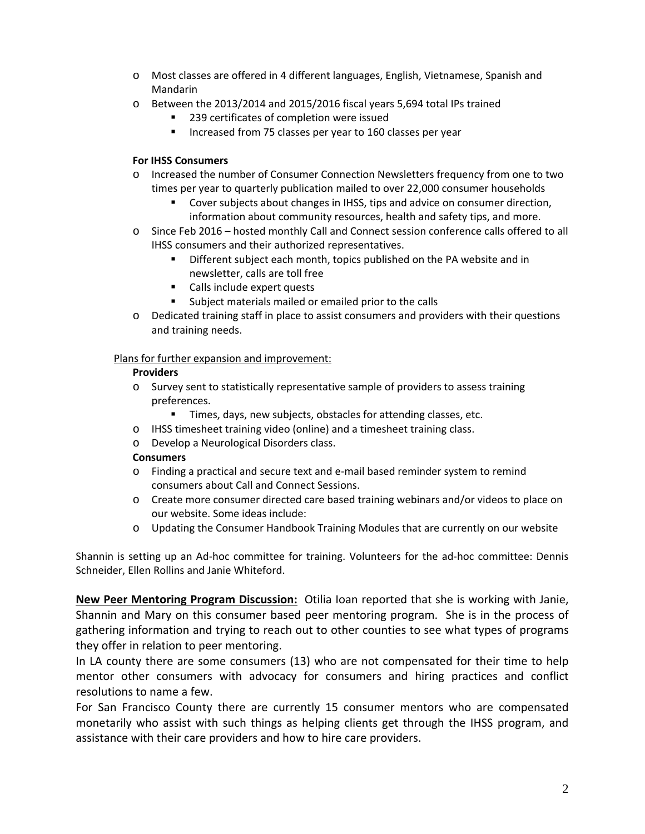- o Most classes are offered in 4 different languages, English, Vietnamese, Spanish and Mandarin
- o Between the 2013/2014 and 2015/2016 fiscal years 5,694 total IPs trained
	- 239 certificates of completion were issued
	- Increased from 75 classes per year to 160 classes per year

#### **For IHSS Consumers**

- o Increased the number of Consumer Connection Newsletters frequency from one to two times per year to quarterly publication mailed to over 22,000 consumer households
	- Cover subjects about changes in IHSS, tips and advice on consumer direction, information about community resources, health and safety tips, and more.
- o Since Feb 2016 hosted monthly Call and Connect session conference calls offered to all IHSS consumers and their authorized representatives.
	- **•** Different subject each month, topics published on the PA website and in newsletter, calls are toll free
	- Calls include expert quests
	- Subject materials mailed or emailed prior to the calls
- o Dedicated training staff in place to assist consumers and providers with their questions and training needs.

#### Plans for further expansion and improvement:

#### **Providers**

- o Survey sent to statistically representative sample of providers to assess training preferences.
	- **Times, days, new subjects, obstacles for attending classes, etc.**
- o IHSS timesheet training video (online) and a timesheet training class.
- o Develop a Neurological Disorders class.

#### **Consumers**

- o Finding a practical and secure text and e‐mail based reminder system to remind consumers about Call and Connect Sessions.
- o Create more consumer directed care based training webinars and/or videos to place on our website. Some ideas include:
- o Updating the Consumer Handbook Training Modules that are currently on our website

Shannin is setting up an Ad‐hoc committee for training. Volunteers for the ad‐hoc committee: Dennis Schneider, Ellen Rollins and Janie Whiteford.

**New Peer Mentoring Program Discussion:** Otilia Ioan reported that she is working with Janie, Shannin and Mary on this consumer based peer mentoring program. She is in the process of gathering information and trying to reach out to other counties to see what types of programs they offer in relation to peer mentoring.

In LA county there are some consumers (13) who are not compensated for their time to help mentor other consumers with advocacy for consumers and hiring practices and conflict resolutions to name a few.

For San Francisco County there are currently 15 consumer mentors who are compensated monetarily who assist with such things as helping clients get through the IHSS program, and assistance with their care providers and how to hire care providers.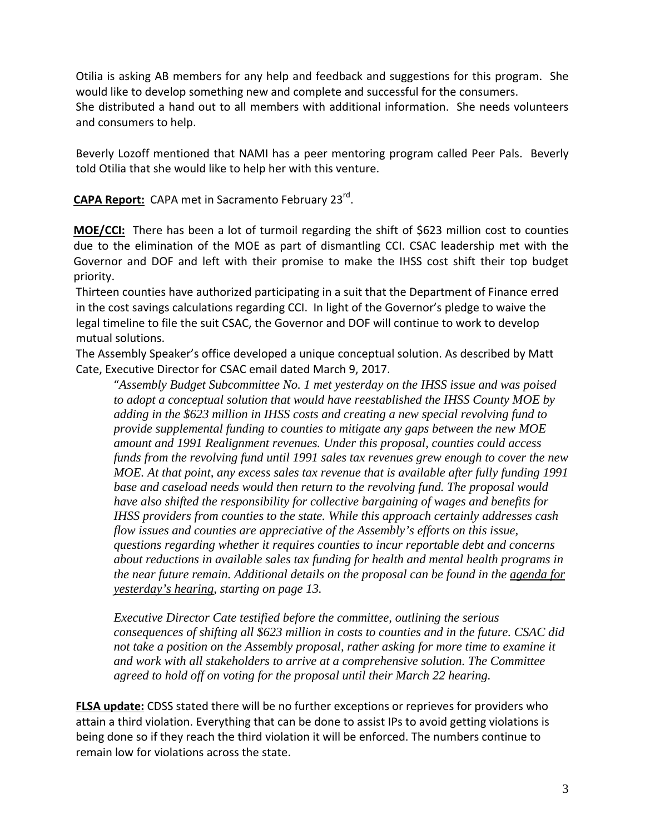Otilia is asking AB members for any help and feedback and suggestions for this program. She would like to develop something new and complete and successful for the consumers. She distributed a hand out to all members with additional information. She needs volunteers and consumers to help.

Beverly Lozoff mentioned that NAMI has a peer mentoring program called Peer Pals. Beverly told Otilia that she would like to help her with this venture.

**CAPA Report:** CAPA met in Sacramento February 23rd.

**MOE/CCI:** There has been a lot of turmoil regarding the shift of \$623 million cost to counties due to the elimination of the MOE as part of dismantling CCI. CSAC leadership met with the Governor and DOF and left with their promise to make the IHSS cost shift their top budget priority.

Thirteen counties have authorized participating in a suit that the Department of Finance erred in the cost savings calculations regarding CCI. In light of the Governor's pledge to waive the legal timeline to file the suit CSAC, the Governor and DOF will continue to work to develop mutual solutions.

The Assembly Speaker's office developed a unique conceptual solution. As described by Matt Cate, Executive Director for CSAC email dated March 9, 2017.

"*Assembly Budget Subcommittee No. 1 met yesterday on the IHSS issue and was poised to adopt a conceptual solution that would have reestablished the IHSS County MOE by adding in the \$623 million in IHSS costs and creating a new special revolving fund to provide supplemental funding to counties to mitigate any gaps between the new MOE amount and 1991 Realignment revenues. Under this proposal, counties could access funds from the revolving fund until 1991 sales tax revenues grew enough to cover the new MOE. At that point, any excess sales tax revenue that is available after fully funding 1991 base and caseload needs would then return to the revolving fund. The proposal would have also shifted the responsibility for collective bargaining of wages and benefits for IHSS providers from counties to the state. While this approach certainly addresses cash flow issues and counties are appreciative of the Assembly's efforts on this issue, questions regarding whether it requires counties to incur reportable debt and concerns about reductions in available sales tax funding for health and mental health programs in the near future remain. Additional details on the proposal can be found in the agenda for yesterday's hearing, starting on page 13.* 

*Executive Director Cate testified before the committee, outlining the serious consequences of shifting all \$623 million in costs to counties and in the future. CSAC did not take a position on the Assembly proposal, rather asking for more time to examine it and work with all stakeholders to arrive at a comprehensive solution. The Committee agreed to hold off on voting for the proposal until their March 22 hearing.* 

**FLSA update:** CDSS stated there will be no further exceptions or reprieves for providers who attain a third violation. Everything that can be done to assist IPs to avoid getting violations is being done so if they reach the third violation it will be enforced. The numbers continue to remain low for violations across the state.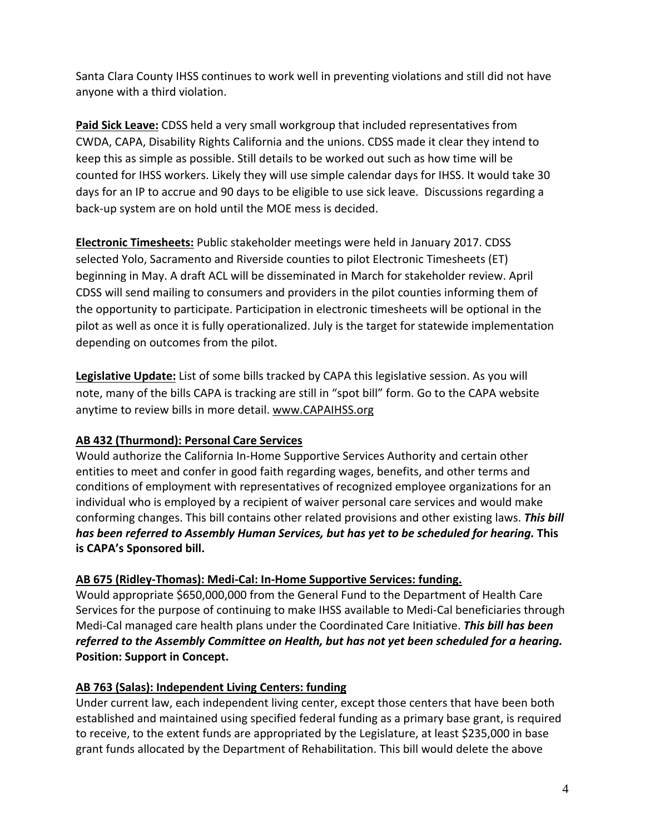Santa Clara County IHSS continues to work well in preventing violations and still did not have anyone with a third violation.

**Paid Sick Leave:** CDSS held a very small workgroup that included representatives from CWDA, CAPA, Disability Rights California and the unions. CDSS made it clear they intend to keep this as simple as possible. Still details to be worked out such as how time will be counted for IHSS workers. Likely they will use simple calendar days for IHSS. It would take 30 days for an IP to accrue and 90 days to be eligible to use sick leave. Discussions regarding a back‐up system are on hold until the MOE mess is decided.

**Electronic Timesheets:** Public stakeholder meetings were held in January 2017. CDSS selected Yolo, Sacramento and Riverside counties to pilot Electronic Timesheets (ET) beginning in May. A draft ACL will be disseminated in March for stakeholder review. April CDSS will send mailing to consumers and providers in the pilot counties informing them of the opportunity to participate. Participation in electronic timesheets will be optional in the pilot as well as once it is fully operationalized. July is the target for statewide implementation depending on outcomes from the pilot.

**Legislative Update:** List of some bills tracked by CAPA this legislative session. As you will note, many of the bills CAPA is tracking are still in "spot bill" form. Go to the CAPA website anytime to review bills in more detail. www.CAPAIHSS.org

## **AB 432 (Thurmond): Personal Care Services**

Would authorize the California In‐Home Supportive Services Authority and certain other entities to meet and confer in good faith regarding wages, benefits, and other terms and conditions of employment with representatives of recognized employee organizations for an individual who is employed by a recipient of waiver personal care services and would make conforming changes. This bill contains other related provisions and other existing laws. *This bill has been referred to Assembly Human Services, but has yet to be scheduled for hearing.* **This is CAPA's Sponsored bill.**

## **AB 675 (Ridley‐Thomas): Medi‐Cal: In‐Home Supportive Services: funding.**

Would appropriate \$650,000,000 from the General Fund to the Department of Health Care Services for the purpose of continuing to make IHSS available to Medi‐Cal beneficiaries through Medi‐Cal managed care health plans under the Coordinated Care Initiative. *This bill has been referred to the Assembly Committee on Health, but has not yet been scheduled for a hearing.* **Position: Support in Concept.**

## **AB 763 (Salas): Independent Living Centers: funding**

Under current law, each independent living center, except those centers that have been both established and maintained using specified federal funding as a primary base grant, is required to receive, to the extent funds are appropriated by the Legislature, at least \$235,000 in base grant funds allocated by the Department of Rehabilitation. This bill would delete the above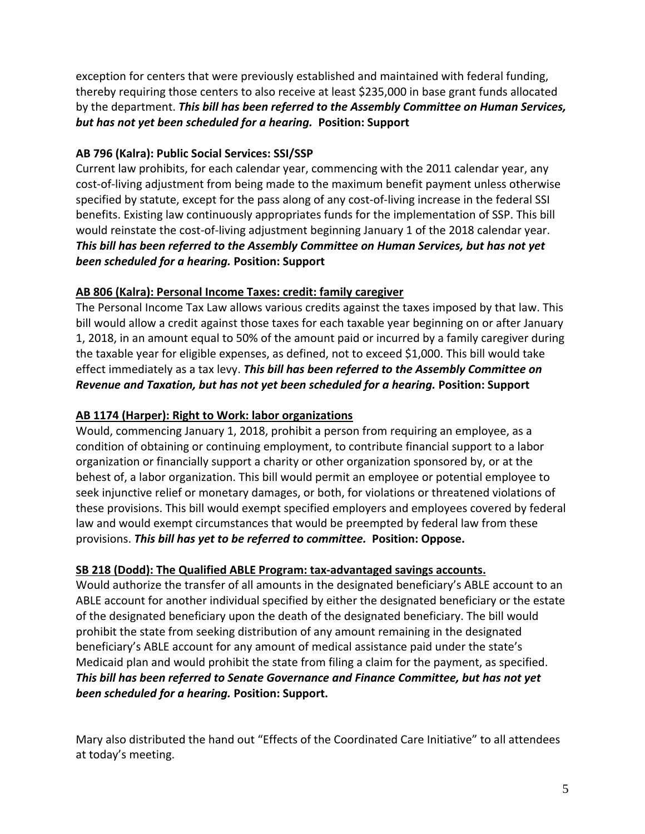exception for centers that were previously established and maintained with federal funding, thereby requiring those centers to also receive at least \$235,000 in base grant funds allocated by the department. *This bill has been referred to the Assembly Committee on Human Services, but has not yet been scheduled for a hearing.* **Position: Support**

### **AB 796 (Kalra): Public Social Services: SSI/SSP**

Current law prohibits, for each calendar year, commencing with the 2011 calendar year, any cost-of-living adjustment from being made to the maximum benefit payment unless otherwise specified by statute, except for the pass along of any cost-of-living increase in the federal SSI benefits. Existing law continuously appropriates funds for the implementation of SSP. This bill would reinstate the cost-of-living adjustment beginning January 1 of the 2018 calendar year. *This bill has been referred to the Assembly Committee on Human Services, but has not yet been scheduled for a hearing.* **Position: Support**

### **AB 806 (Kalra): Personal Income Taxes: credit: family caregiver**

The Personal Income Tax Law allows various credits against the taxes imposed by that law. This bill would allow a credit against those taxes for each taxable year beginning on or after January 1, 2018, in an amount equal to 50% of the amount paid or incurred by a family caregiver during the taxable year for eligible expenses, as defined, not to exceed \$1,000. This bill would take effect immediately as a tax levy. *This bill has been referred to the Assembly Committee on Revenue and Taxation, but has not yet been scheduled for a hearing.* **Position: Support**

### **AB 1174 (Harper): Right to Work: labor organizations**

Would, commencing January 1, 2018, prohibit a person from requiring an employee, as a condition of obtaining or continuing employment, to contribute financial support to a labor organization or financially support a charity or other organization sponsored by, or at the behest of, a labor organization. This bill would permit an employee or potential employee to seek injunctive relief or monetary damages, or both, for violations or threatened violations of these provisions. This bill would exempt specified employers and employees covered by federal law and would exempt circumstances that would be preempted by federal law from these provisions. *This bill has yet to be referred to committee.* **Position: Oppose.**

### **SB 218 (Dodd): The Qualified ABLE Program: tax‐advantaged savings accounts.**

Would authorize the transfer of all amounts in the designated beneficiary's ABLE account to an ABLE account for another individual specified by either the designated beneficiary or the estate of the designated beneficiary upon the death of the designated beneficiary. The bill would prohibit the state from seeking distribution of any amount remaining in the designated beneficiary's ABLE account for any amount of medical assistance paid under the state's Medicaid plan and would prohibit the state from filing a claim for the payment, as specified. *This bill has been referred to Senate Governance and Finance Committee, but has not yet been scheduled for a hearing.* **Position: Support.**

Mary also distributed the hand out "Effects of the Coordinated Care Initiative" to all attendees at today's meeting.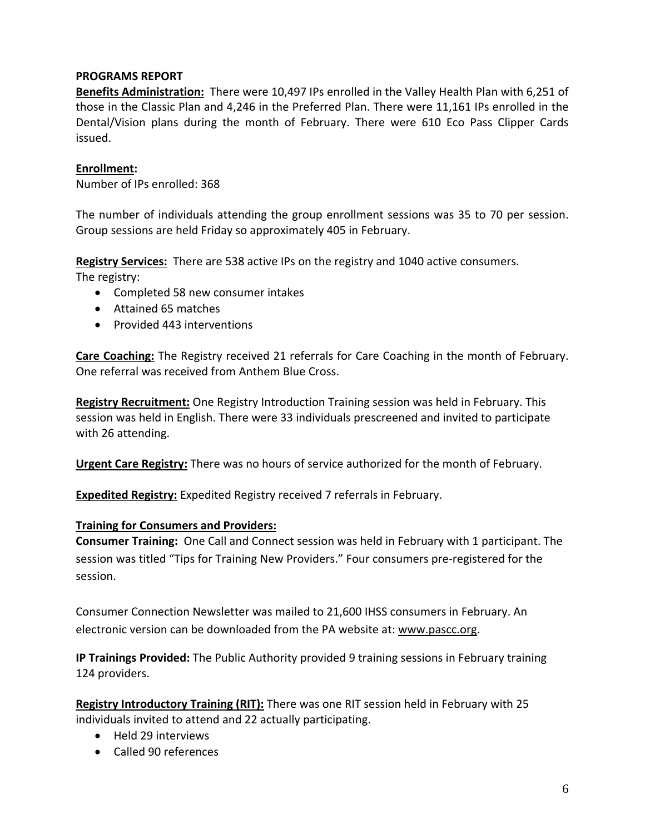#### **PROGRAMS REPORT**

**Benefits Administration:** There were 10,497 IPs enrolled in the Valley Health Plan with 6,251 of those in the Classic Plan and 4,246 in the Preferred Plan. There were 11,161 IPs enrolled in the Dental/Vision plans during the month of February. There were 610 Eco Pass Clipper Cards issued.

#### **Enrollment:**

Number of IPs enrolled: 368

The number of individuals attending the group enrollment sessions was 35 to 70 per session. Group sessions are held Friday so approximately 405 in February.

**Registry Services:** There are 538 active IPs on the registry and 1040 active consumers.

The registry:

- Completed 58 new consumer intakes
- Attained 65 matches
- Provided 443 interventions

**Care Coaching:** The Registry received 21 referrals for Care Coaching in the month of February. One referral was received from Anthem Blue Cross.

**Registry Recruitment:** One Registry Introduction Training session was held in February. This session was held in English. There were 33 individuals prescreened and invited to participate with 26 attending.

**Urgent Care Registry:** There was no hours of service authorized for the month of February.

**Expedited Registry:** Expedited Registry received 7 referrals in February.

#### **Training for Consumers and Providers:**

**Consumer Training:** One Call and Connect session was held in February with 1 participant. The session was titled "Tips for Training New Providers." Four consumers pre‐registered for the session.

Consumer Connection Newsletter was mailed to 21,600 IHSS consumers in February. An electronic version can be downloaded from the PA website at: www.pascc.org.

**IP Trainings Provided:** The Public Authority provided 9 training sessions in February training 124 providers.

**Registry Introductory Training (RIT):** There was one RIT session held in February with 25 individuals invited to attend and 22 actually participating.

- Held 29 interviews
- Called 90 references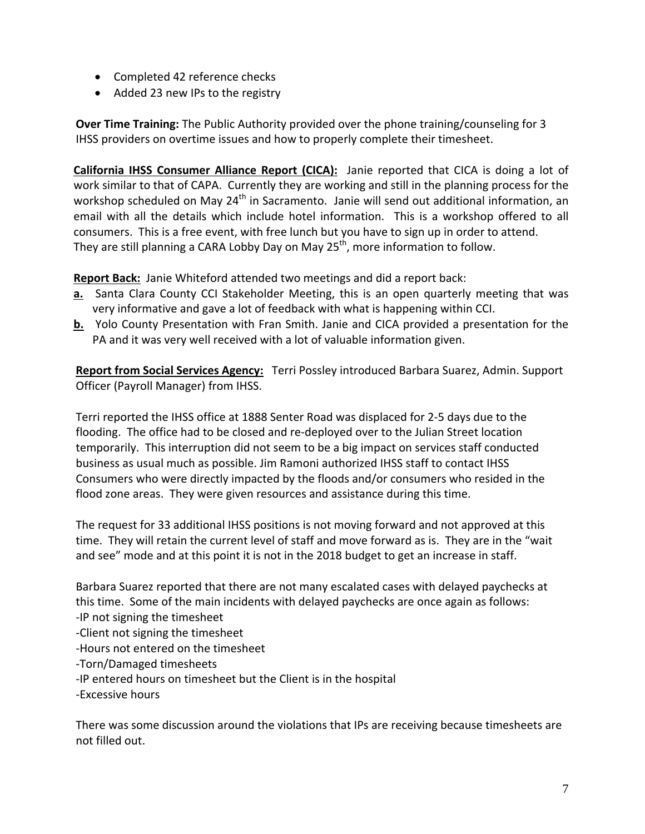- Completed 42 reference checks
- Added 23 new IPs to the registry

**Over Time Training:** The Public Authority provided over the phone training/counseling for 3 IHSS providers on overtime issues and how to properly complete their timesheet.

**California IHSS Consumer Alliance Report (CICA):** Janie reported that CICA is doing a lot of work similar to that of CAPA. Currently they are working and still in the planning process for the workshop scheduled on May 24<sup>th</sup> in Sacramento. Janie will send out additional information, an email with all the details which include hotel information. This is a workshop offered to all consumers. This is a free event, with free lunch but you have to sign up in order to attend. They are still planning a CARA Lobby Day on May  $25<sup>th</sup>$ , more information to follow.

**Report Back:** Janie Whiteford attended two meetings and did a report back:

- **a.** Santa Clara County CCI Stakeholder Meeting, this is an open quarterly meeting that was very informative and gave a lot of feedback with what is happening within CCI.
- **b.** Yolo County Presentation with Fran Smith. Janie and CICA provided a presentation for the PA and it was very well received with a lot of valuable information given.

**Report from Social Services Agency:** Terri Possley introduced Barbara Suarez, Admin. Support Officer (Payroll Manager) from IHSS.

Terri reported the IHSS office at 1888 Senter Road was displaced for 2‐5 days due to the flooding. The office had to be closed and re‐deployed over to the Julian Street location temporarily. This interruption did not seem to be a big impact on services staff conducted business as usual much as possible. Jim Ramoni authorized IHSS staff to contact IHSS Consumers who were directly impacted by the floods and/or consumers who resided in the flood zone areas. They were given resources and assistance during this time.

The request for 33 additional IHSS positions is not moving forward and not approved at this time. They will retain the current level of staff and move forward as is. They are in the "wait and see" mode and at this point it is not in the 2018 budget to get an increase in staff.

Barbara Suarez reported that there are not many escalated cases with delayed paychecks at this time. Some of the main incidents with delayed paychecks are once again as follows:

‐IP not signing the timesheet

- ‐Client not signing the timesheet
- ‐Hours not entered on the timesheet

‐Torn/Damaged timesheets

‐IP entered hours on timesheet but the Client is in the hospital

‐Excessive hours

There was some discussion around the violations that IPs are receiving because timesheets are not filled out.